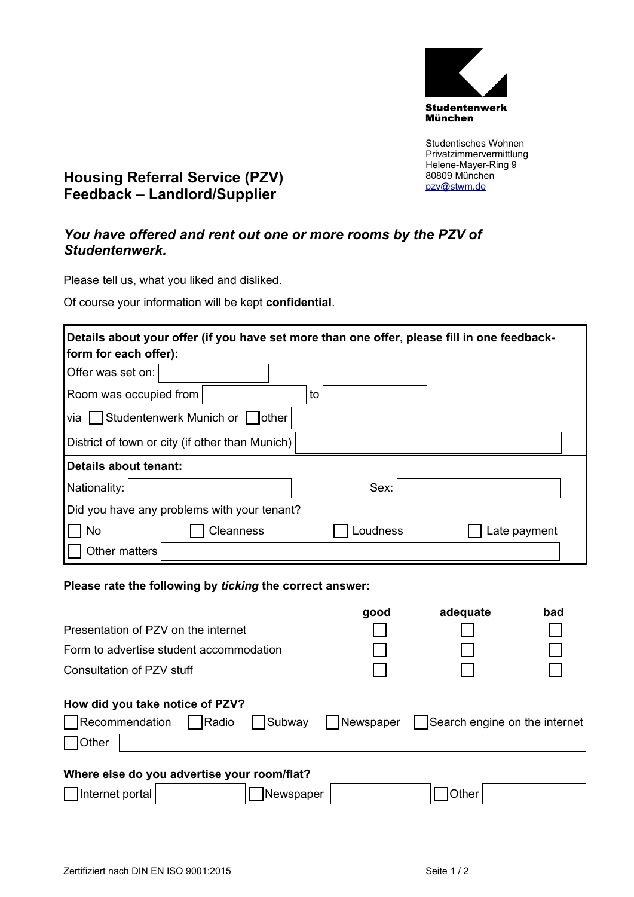

Studentisches Wohnen Privatzimmervermittlung Helene-Mayer-Ring 9 80809 München pzv@stwm.de

## **Housing Referral Service (PZV) Feedback – Landlord/Supplier**

## *You have offered and rent out one or more rooms by the PZV of Studentenwerk.*

Please tell us, what you liked and disliked.

Of course your information will be kept **confidential**.

| form for each offer):                           |                  |          | Details about your offer (if you have set more than one offer, please fill in one feedback- |  |  |  |
|-------------------------------------------------|------------------|----------|---------------------------------------------------------------------------------------------|--|--|--|
| Offer was set on:                               |                  |          |                                                                                             |  |  |  |
| Room was occupied from                          |                  | to       |                                                                                             |  |  |  |
| Studentenwerk Munich or other<br>via I          |                  |          |                                                                                             |  |  |  |
| District of town or city (if other than Munich) |                  |          |                                                                                             |  |  |  |
| Details about tenant:                           |                  |          |                                                                                             |  |  |  |
| Nationality:                                    |                  | Sex:     |                                                                                             |  |  |  |
| Did you have any problems with your tenant?     |                  |          |                                                                                             |  |  |  |
| <b>No</b>                                       | <b>Cleanness</b> | _oudness | Late payment                                                                                |  |  |  |
| Other matters                                   |                  |          |                                                                                             |  |  |  |

## **Please rate the following by** *ticking* **the correct answer:**

|                                             | good      | adequate                      | bad |
|---------------------------------------------|-----------|-------------------------------|-----|
| Presentation of PZV on the internet         |           |                               |     |
| Form to advertise student accommodation     |           |                               |     |
| Consultation of PZV stuff                   |           |                               |     |
| How did you take notice of PZV?             |           |                               |     |
| Recommendation<br>Radio<br>Subway           | Newspaper | Search engine on the internet |     |
| <b>Other</b>                                |           |                               |     |
| Where else do you advertise your room/flat? |           |                               |     |

□Internet portal DNewspaper | Other